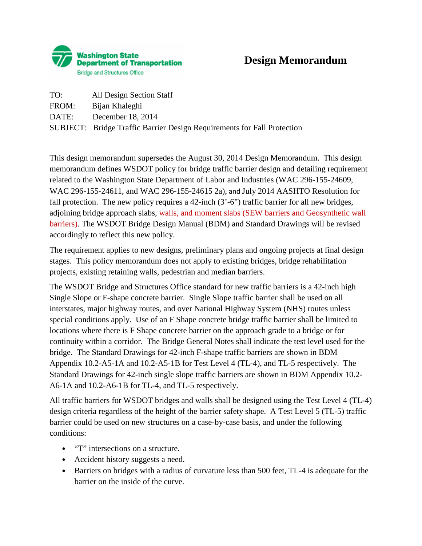

## **Design Memorandum**

| TO:   | All Design Section Staff                                                |
|-------|-------------------------------------------------------------------------|
| FROM: | Bijan Khaleghi                                                          |
|       | DATE: December 18, 2014                                                 |
|       | SUBJECT: Bridge Traffic Barrier Design Requirements for Fall Protection |

This design memorandum supersedes the August 30, 2014 Design Memorandum. This design memorandum defines WSDOT policy for bridge traffic barrier design and detailing requirement related to the Washington State Department of Labor and Industries (WAC 296-155-24609, WAC 296-155-24611, and WAC 296-155-24615 2a), and July 2014 AASHTO Resolution for fall protection. The new policy requires a 42-inch (3'-6") traffic barrier for all new bridges, adjoining bridge approach slabs, walls, and moment slabs (SEW barriers and Geosynthetic wall barriers). The WSDOT Bridge Design Manual (BDM) and Standard Drawings will be revised accordingly to reflect this new policy.

The requirement applies to new designs, preliminary plans and ongoing projects at final design stages. This policy memorandum does not apply to existing bridges, bridge rehabilitation projects, existing retaining walls, pedestrian and median barriers.

The WSDOT Bridge and Structures Office standard for new traffic barriers is a 42-inch high Single Slope or F-shape concrete barrier. Single Slope traffic barrier shall be used on all interstates, major highway routes, and over National Highway System (NHS) routes unless special conditions apply. Use of an F Shape concrete bridge traffic barrier shall be limited to locations where there is F Shape concrete barrier on the approach grade to a bridge or for continuity within a corridor. The Bridge General Notes shall indicate the test level used for the bridge. The Standard Drawings for 42-inch F-shape traffic barriers are shown in BDM Appendix 10.2-A5-1A and 10.2-A5-1B for Test Level 4 (TL-4), and TL-5 respectively. The Standard Drawings for 42-inch single slope traffic barriers are shown in BDM Appendix 10.2- A6-1A and 10.2-A6-1B for TL-4, and TL-5 respectively.

All traffic barriers for WSDOT bridges and walls shall be designed using the Test Level 4 (TL-4) design criteria regardless of the height of the barrier safety shape. A Test Level 5 (TL-5) traffic barrier could be used on new structures on a case-by-case basis, and under the following conditions:

- "T" intersections on a structure.
- Accident history suggests a need.
- Barriers on bridges with a radius of curvature less than 500 feet, TL-4 is adequate for the barrier on the inside of the curve.